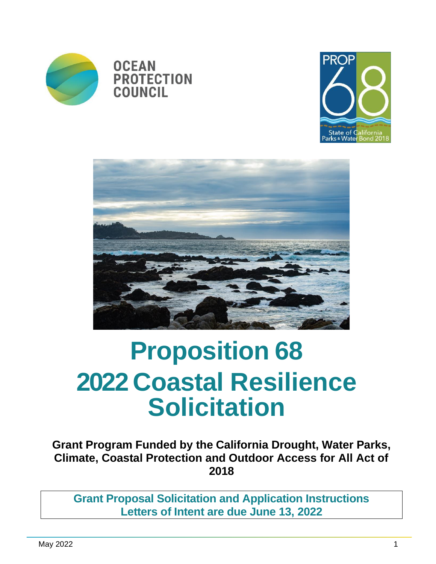





# **Proposition 68 2022 Coastal Resilience Solicitation**

**Grant Program Funded by the California Drought, Water Parks, Climate, Coastal Protection and Outdoor Access for All Act of 2018**

**Grant Proposal Solicitation and Application Instructions Letters of Intent are due June 13, 2022**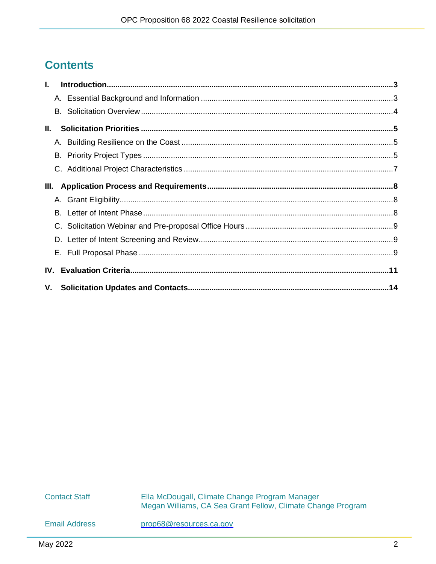# **Contents**

| $\mathbf{L}$ |  |  |
|--------------|--|--|
|              |  |  |
|              |  |  |
| II. .        |  |  |
|              |  |  |
|              |  |  |
|              |  |  |
| III.         |  |  |
|              |  |  |
|              |  |  |
|              |  |  |
|              |  |  |
|              |  |  |
|              |  |  |
|              |  |  |

**Email Address** 

prop68@resources.ca.gov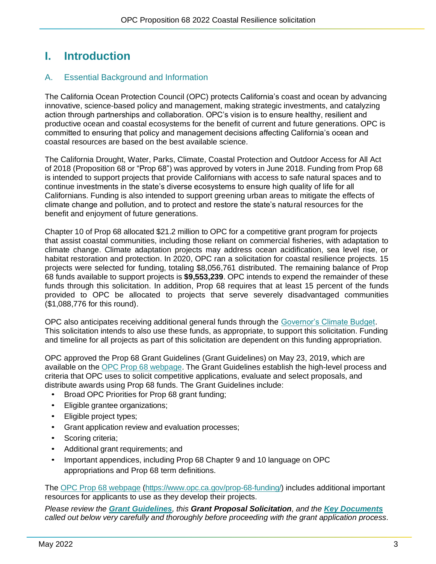# <span id="page-2-0"></span>**I. Introduction**

## <span id="page-2-1"></span>A. Essential Background and Information

The California Ocean Protection Council (OPC) protects California's coast and ocean by advancing innovative, science-based policy and management, making strategic investments, and catalyzing action through partnerships and collaboration. OPC's vision is to ensure healthy, resilient and productive ocean and coastal ecosystems for the benefit of current and future generations. OPC is committed to ensuring that policy and management decisions affecting California's ocean and coastal resources are based on the best available science.

The California Drought, Water, Parks, Climate, Coastal Protection and Outdoor Access for All Act of 2018 (Proposition 68 or "Prop 68") was approved by voters in June 2018. Funding from Prop 68 is intended to support projects that provide Californians with access to safe natural spaces and to continue investments in the state's diverse ecosystems to ensure high quality of life for all Californians. Funding is also intended to support greening urban areas to mitigate the effects of climate change and pollution, and to protect and restore the state's natural resources for the benefit and enjoyment of future generations.

Chapter 10 of Prop 68 allocated \$21.2 million to OPC for a competitive grant program for projects that assist coastal communities, including those reliant on commercial fisheries, with adaptation to climate change. Climate adaptation projects may address ocean acidification, sea level rise, or habitat restoration and protection. In 2020, OPC ran a solicitation for coastal resilience projects. 15 projects were selected for funding, totaling \$8,056,761 distributed. The remaining balance of Prop 68 funds available to support projects is **\$9,553,239**. OPC intends to expend the remainder of these funds through this solicitation. In addition, Prop 68 requires that at least 15 percent of the funds provided to OPC be allocated to projects that serve severely disadvantaged communities (\$1,088,776 for this round).

OPC also anticipates receiving additional general funds through the [Governor's Climate Budget.](https://www.ebudget.ca.gov/2022-23/pdf/BudgetSummary/ClimateChange.pdf) This solicitation intends to also use these funds, as appropriate, to support this solicitation. Funding and timeline for all projects as part of this solicitation are dependent on this funding appropriation.

OPC approved the Prop 68 Grant Guidelines (Grant Guidelines) on May 23, 2019, which are available on the OPC Prop 68 [webpage.](https://www.opc.ca.gov/prop-68-funding/) The Grant Guidelines establish the high-level process and criteria that OPC uses to solicit competitive applications, evaluate and select proposals, and distribute awards using Prop 68 funds. The Grant Guidelines include:

- Broad OPC Priorities for Prop 68 grant funding;
- Eligible grantee organizations;
- Eligible project types;
- Grant application review and evaluation processes;
- Scoring criteria;
- Additional grant requirements; and
- Important appendices, including Prop 68 Chapter 9 and 10 language on OPC appropriations and Prop 68 term definitions.

The OPC Prop 68 [webpage](https://www.opc.ca.gov/prop-68-funding/) [\(https://www.opc.ca.gov/prop-68-funding/\)](https://www.opc.ca.gov/prop-68-funding/) includes additional important resources for applicants to use as they develop their projects.

*Please review the [Grant Guidelines](http://www.opc.ca.gov/webmaster/_media_library/2019/06/OPC-Prop-68-Grant-Guidelines_FINAL.pdf), this Grant Proposal Solicitation, and the Key [Documents](#page-4-3) called out below very carefully and thoroughly before proceeding with the grant application process.*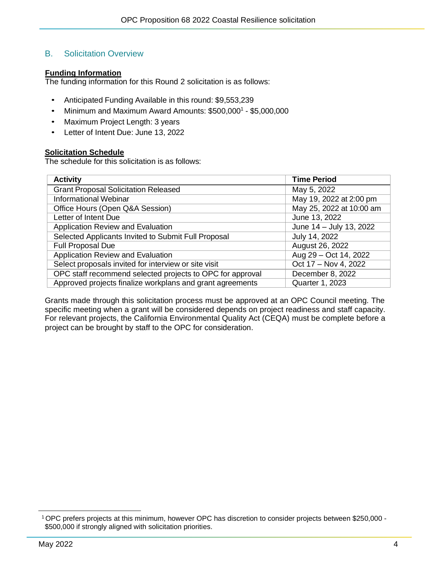# <span id="page-3-0"></span>B. Solicitation Overview

#### **Funding Information**

The funding information for this Round 2 solicitation is as follows:

- Anticipated Funding Available in this round: \$9,553,239
- Minimum and Maximum Award Amounts: \$500,000<sup>1</sup> \$5,000,000
- Maximum Project Length: 3 years
- Letter of Intent Due: June 13, 2022

#### **Solicitation Schedule**

The schedule for this solicitation is as follows:

| <b>Activity</b>                                           | <b>Time Period</b>       |
|-----------------------------------------------------------|--------------------------|
| <b>Grant Proposal Solicitation Released</b>               | May 5, 2022              |
| <b>Informational Webinar</b>                              | May 19, 2022 at 2:00 pm  |
| Office Hours (Open Q&A Session)                           | May 25, 2022 at 10:00 am |
| Letter of Intent Due                                      | June 13, 2022            |
| Application Review and Evaluation                         | June 14 - July 13, 2022  |
| Selected Applicants Invited to Submit Full Proposal       | July 14, 2022            |
| <b>Full Proposal Due</b>                                  | August 26, 2022          |
| Application Review and Evaluation                         | Aug 29 - Oct 14, 2022    |
| Select proposals invited for interview or site visit      | Oct 17 - Nov 4, 2022     |
| OPC staff recommend selected projects to OPC for approval | December 8, 2022         |
| Approved projects finalize workplans and grant agreements | Quarter 1, 2023          |

Grants made through this solicitation process must be approved at an OPC Council meeting. The specific meeting when a grant will be considered depends on project readiness and staff capacity. For relevant projects, the California Environmental Quality Act (CEQA) must be complete before a project can be brought by staff to the OPC for consideration.

<sup>1</sup>OPC prefers projects at this minimum, however OPC has discretion to consider projects between \$250,000 - \$500,000 if strongly aligned with solicitation priorities.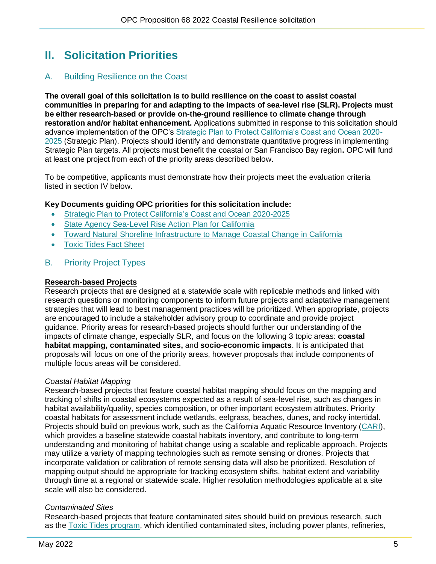# <span id="page-4-0"></span>**II. Solicitation Priorities**

# <span id="page-4-1"></span>A. Building Resilience on the Coast

**The overall goal of this solicitation is to build resilience on the coast to assist coastal communities in preparing for and adapting to the impacts of sea-level rise (SLR). Projects must be either research-based or provide on-the-ground resilience to climate change through restoration and/or habitat enhancement.** Applications submitted in response to this solicitation should advance implementation of the OPC's [Strategic Plan to Protect California's Coast and Ocean 2020-](http://www.opc.ca.gov/webmaster/ftp/pdf/agenda_items/20200226/OPC-2020-2025-Strategic-Plan-FINAL-20200228.pdf) [2025](http://www.opc.ca.gov/webmaster/ftp/pdf/agenda_items/20200226/OPC-2020-2025-Strategic-Plan-FINAL-20200228.pdf) (Strategic Plan). Projects should identify and demonstrate quantitative progress in implementing Strategic Plan targets. All projects must benefit the coastal or San Francisco Bay region**.** OPC will fund at least one project from each of the priority areas described below.

To be competitive, applicants must demonstrate how their projects meet the evaluation criteria listed in section IV below.

#### <span id="page-4-3"></span>**Key Documents guiding OPC priorities for this solicitation include:**

- Strategic Plan to Protect [California's](http://www.opc.ca.gov/webmaster/ftp/pdf/agenda_items/20200226/OPC-2020-2025-Strategic-Plan-FINAL-20200228.pdf) Coast and Ocean 2020-2025
- [State Agency Sea-Level Rise Action Plan for California](https://www.opc.ca.gov/webmaster/_media_library/2022/02/Item-7_Exhibit-A_SLR-Action-Plan-Final.pdf)
- [Toward Natural Shoreline Infrastructure to Manage Coastal Change in California](https://www.energy.ca.gov/sites/default/files/2019-12/Oceans_CCCA4-CNRA-2018-011_ada.pdf)
- [Toxic Tides Fact Sheet](https://sites.google.com/berkeley.edu/toxictides/home?authuser=0)

## <span id="page-4-2"></span>B. Priority Project Types

#### **Research-based Projects**

Research projects that are designed at a statewide scale with replicable methods and linked with research questions or monitoring components to inform future projects and adaptative management strategies that will lead to best management practices will be prioritized. When appropriate, projects are encouraged to include a stakeholder advisory group to coordinate and provide project guidance. Priority areas for research-based projects should further our understanding of the impacts of climate change, especially SLR, and focus on the following 3 topic areas: **coastal habitat mapping, contaminated sites,** and **socio-economic impacts**. It is anticipated that proposals will focus on one of the priority areas, however proposals that include components of multiple focus areas will be considered.

#### *Coastal Habitat Mapping*

Research-based projects that feature coastal habitat mapping should focus on the mapping and tracking of shifts in coastal ecosystems expected as a result of sea-level rise, such as changes in habitat availability/quality, species composition, or other important ecosystem attributes. Priority coastal habitats for assessment include wetlands, eelgrass, beaches, dunes, and rocky intertidal. Projects should build on previous work, such as the California Aquatic Resource Inventory [\(CARI\)](https://www.sfei.org/cari), which provides a baseline statewide coastal habitats inventory, and contribute to long-term understanding and monitoring of habitat change using a scalable and replicable approach. Projects may utilize a variety of mapping technologies such as remote sensing or drones. Projects that incorporate validation or calibration of remote sensing data will also be prioritized. Resolution of mapping output should be appropriate for tracking ecosystem shifts, habitat extent and variability through time at a regional or statewide scale. Higher resolution methodologies applicable at a site scale will also be considered.

#### *Contaminated Sites*

Research-based projects that feature contaminated sites should build on previous research, such as the [Toxic Tides program,](https://sites.google.com/berkeley.edu/toxictides/home?authuser=0) which identified contaminated sites, including power plants, refineries,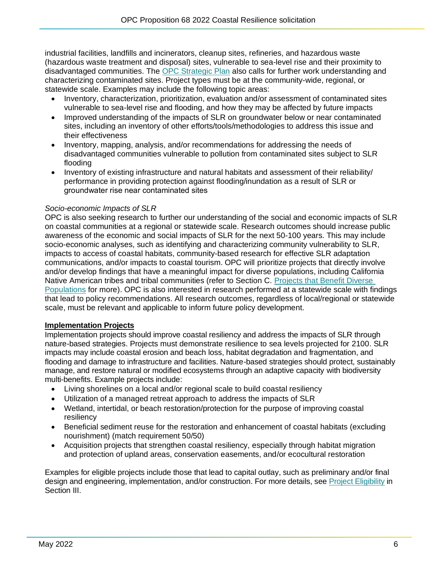industrial facilities, landfills and incinerators, cleanup sites, refineries, and hazardous waste (hazardous waste treatment and disposal) sites, vulnerable to sea-level rise and their proximity to disadvantaged communities. The [OPC Strategic Plan](http://www.opc.ca.gov/webmaster/ftp/pdf/agenda_items/20200226/OPC-2020-2025-Strategic-Plan-FINAL-20200228.pdf) also calls for further work understanding and characterizing contaminated sites. Project types must be at the community-wide, regional, or statewide scale. Examples may include the following topic areas:

- Inventory, characterization, prioritization, evaluation and/or assessment of contaminated sites vulnerable to sea-level rise and flooding, and how they may be affected by future impacts
- Improved understanding of the impacts of SLR on groundwater below or near contaminated sites, including an inventory of other efforts/tools/methodologies to address this issue and their effectiveness
- Inventory, mapping, analysis, and/or recommendations for addressing the needs of disadvantaged communities vulnerable to pollution from contaminated sites subject to SLR flooding
- Inventory of existing infrastructure and natural habitats and assessment of their reliability/ performance in providing protection against flooding/inundation as a result of SLR or groundwater rise near contaminated sites

#### *Socio-economic Impacts of SLR*

OPC is also seeking research to further our understanding of the social and economic impacts of SLR on coastal communities at a regional or statewide scale. Research outcomes should increase public awareness of the economic and social impacts of SLR for the next 50-100 years. This may include socio-economic analyses, such as identifying and characterizing community vulnerability to SLR, impacts to access of coastal habitats, community-based research for effective SLR adaptation communications, and/or impacts to coastal tourism. OPC will prioritize projects that directly involve and/or develop findings that have a meaningful impact for diverse populations, including California Native American tribes and tribal communities (refer to Section C. [Projects that Benefit Diverse](#page-6-1)  [Populations](#page-6-1) for more). OPC is also interested in research performed at a statewide scale with findings that lead to policy recommendations. All research outcomes, regardless of local/regional or statewide scale, must be relevant and applicable to inform future policy development.

#### **Implementation Projects**

Implementation projects should improve coastal resiliency and address the impacts of SLR through nature-based strategies. Projects must demonstrate resilience to sea levels projected for 2100. SLR impacts may include coastal erosion and beach loss, habitat degradation and fragmentation, and flooding and damage to infrastructure and facilities. Nature-based strategies should protect, sustainably manage, and restore natural or modified ecosystems through an adaptive capacity with biodiversity multi-benefits. Example projects include:

- Living shorelines on a local and/or regional scale to build coastal resiliency
- Utilization of a managed retreat approach to address the impacts of SLR
- Wetland, intertidal, or beach restoration/protection for the purpose of improving coastal resiliency
- Beneficial sediment reuse for the restoration and enhancement of coastal habitats (excluding nourishment) (match requirement 50/50)
- Acquisition projects that strengthen coastal resiliency, especially through habitat migration and protection of upland areas, conservation easements, and/or ecocultural restoration

Examples for eligible projects include those that lead to capital outlay, such as preliminary and/or final design and engineering, implementation, and/or construction. For more details, see [Project Eligibility](#page-7-3) in Section III.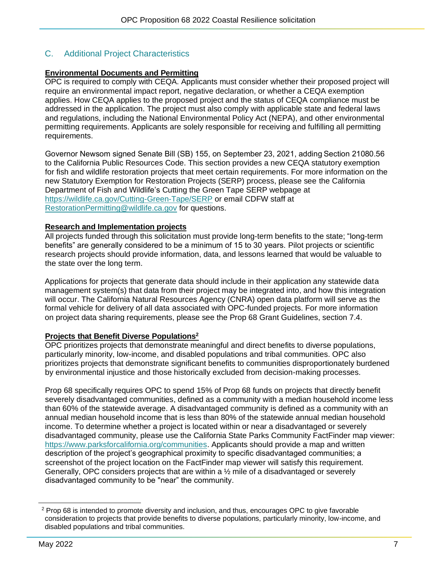# <span id="page-6-0"></span>C. Additional Project Characteristics

#### **Environmental Documents and Permitting**

OPC is required to comply with CEQA. Applicants must consider whether their proposed project will require an environmental impact report, negative declaration, or whether a CEQA exemption applies. How CEQA applies to the proposed project and the status of CEQA compliance must be addressed in the application. The project must also comply with applicable state and federal laws and regulations, including the National Environmental Policy Act (NEPA), and other environmental permitting requirements. Applicants are solely responsible for receiving and fulfilling all permitting requirements.

Governor Newsom signed Senate Bill (SB) 155, on September 23, 2021, adding Section 21080.56 to the California Public Resources Code. This section provides a new CEQA statutory exemption for fish and wildlife restoration projects that meet certain requirements. For more information on the new Statutory Exemption for Restoration Projects (SERP) process, please see the California Department of Fish and Wildlife's Cutting the Green Tape SERP webpage at <https://wildlife.ca.gov/Cutting-Green-Tape/SERP> or email CDFW staff at [RestorationPermitting@wildlife.ca.gov](mailto:RestorationPermitting@wildlife.ca.gov) for questions.

#### **Research and Implementation projects**

All projects funded through this solicitation must provide long-term benefits to the state; "long-term benefits" are generally considered to be a minimum of 15 to 30 years. Pilot projects or scientific research projects should provide information, data, and lessons learned that would be valuable to the state over the long term.

Applications for projects that generate data should include in their application any statewide data management system(s) that data from their project may be integrated into, and how this integration will occur. The California Natural Resources Agency (CNRA) open data platform will serve as the formal vehicle for delivery of all data associated with OPC-funded projects. For more information on project data sharing requirements, please see the Prop 68 Grant Guidelines, section 7.4.

#### <span id="page-6-1"></span>**Projects that Benefit Diverse Populations<sup>2</sup>**

OPC prioritizes projects that demonstrate meaningful and direct benefits to diverse populations, particularly minority, low-income, and disabled populations and tribal communities. OPC also prioritizes projects that demonstrate significant benefits to communities disproportionately burdened by environmental injustice and those historically excluded from decision-making processes.

Prop 68 specifically requires OPC to spend 15% of Prop 68 funds on projects that directly benefit severely disadvantaged communities, defined as a community with a median household income less than 60% of the statewide average. A disadvantaged community is defined as a community with an annual median household income that is less than 80% of the statewide annual median household income. To determine whether a project is located within or near a disadvantaged or severely disadvantaged community, please use the California State Parks Community FactFinder map viewer: https:/[/www.parksforcalifornia.org/communities. A](http://www.parksforcalifornia.org/communities)pplicants should provide a map and written description of the project's geographical proximity to specific disadvantaged communities; a screenshot of the project location on the FactFinder map viewer will satisfy this requirement. Generally, OPC considers projects that are within a ½ mile of a disadvantaged or severely disadvantaged community to be "near" the community.

 $2$  Prop 68 is intended to promote diversity and inclusion, and thus, encourages OPC to give favorable consideration to projects that provide benefits to diverse populations, particularly minority, low-income, and disabled populations and tribal communities.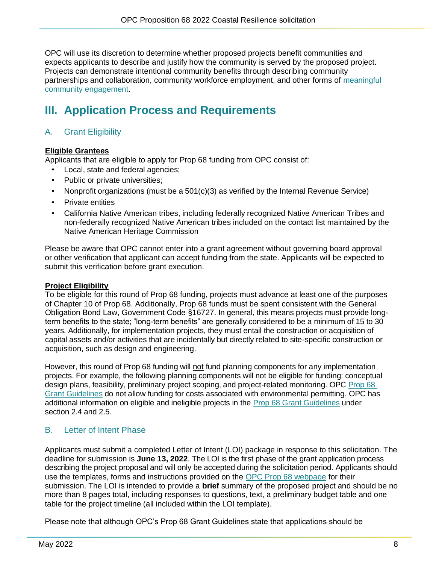OPC will use its discretion to determine whether proposed projects benefit communities and expects applicants to describe and justify how the community is served by the proposed project. Projects can demonstrate intentional community benefits through describing community partnerships and collaboration, community workforce employment, and other forms of [meaningful](https://scc.ca.gov/files/2020/06/Tips-for-Meaningful-Community-Engagement.pdf)  [community engagement.](https://scc.ca.gov/files/2020/06/Tips-for-Meaningful-Community-Engagement.pdf)

# <span id="page-7-0"></span>**III. Application Process and Requirements**

# <span id="page-7-1"></span>A. Grant Eligibility

#### **Eligible Grantees**

Applicants that are eligible to apply for Prop 68 funding from OPC consist of:

- Local, state and federal agencies;
- Public or private universities;
- Nonprofit organizations (must be a 501(c)(3) as verified by the Internal Revenue Service)
- Private entities
- California Native American tribes, including federally recognized Native American Tribes and non-federally recognized Native American tribes included on the contact list maintained by the Native American Heritage Commission

Please be aware that OPC cannot enter into a grant agreement without governing board approval or other verification that applicant can accept funding from the state. Applicants will be expected to submit this verification before grant execution.

#### <span id="page-7-3"></span>**Project Eligibility**

To be eligible for this round of Prop 68 funding, projects must advance at least one of the purposes of Chapter 10 of Prop 68. Additionally, Prop 68 funds must be spent consistent with the General Obligation Bond Law, Government Code §16727. In general, this means projects must provide longterm benefits to the state; "long-term benefits" are generally considered to be a minimum of 15 to 30 years. Additionally, for implementation projects, they must entail the construction or acquisition of capital assets and/or activities that are incidentally but directly related to site-specific construction or acquisition, such as design and engineering.

However, this round of Prop 68 funding will not fund planning components for any implementation projects. For example, the following planning components will not be eligible for funding: conceptual design plans, feasibility, preliminary project scoping, and project-related monitoring. OPC [Prop 68](https://opc.ca.gov/webmaster/_media_library/2019/06/OPC-Prop-68-Grant-Guidelines_FINAL.pdf)  [Grant Guidelines](https://opc.ca.gov/webmaster/_media_library/2019/06/OPC-Prop-68-Grant-Guidelines_FINAL.pdf) do not allow funding for costs associated with environmental permitting. OPC has additional information on eligible and ineligible projects in the [Prop 68 Grant Guidelines](https://opc.ca.gov/webmaster/_media_library/2019/06/OPC-Prop-68-Grant-Guidelines_FINAL.pdf) under section 2.4 and 2.5.

# <span id="page-7-2"></span>B. Letter of Intent Phase

Applicants must submit a completed Letter of Intent (LOI) package in response to this solicitation. The deadline for submission is **June 13, 2022**. The LOI is the first phase of the grant application process describing the project proposal and will only be accepted during the solicitation period. Applicants should use the templates, forms and instructions provided on the [OPC Prop 68 webpage](https://www.opc.ca.gov/prop-68-funding/) for their submission. The LOI is intended to provide a **brief** summary of the proposed project and should be no more than 8 pages total, including responses to questions, text, a preliminary budget table and one table for the project timeline (all included within the LOI template).

Please note that although OPC's Prop 68 Grant Guidelines state that applications should be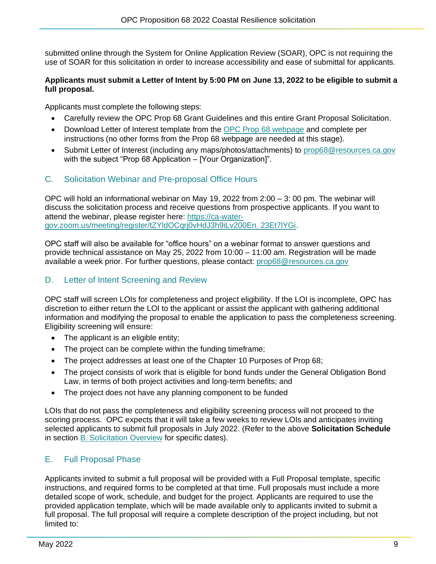submitted online through the System for Online Application Review (SOAR), OPC is not requiring the use of SOAR for this solicitation in order to increase accessibility and ease of submittal for applicants.

#### **Applicants must submit a Letter of Intent by 5:00 PM on June 13, 2022 to be eligible to submit a full proposal.**

Applicants must complete the following steps:

- Carefully review the OPC Prop 68 Grant Guidelines and this entire Grant Proposal Solicitation.
- Download Letter of Interest template from the [OPC Prop 68 webpage](https://www.opc.ca.gov/prop-68-funding/) and complete per instructions (no other forms from the Prop 68 webpage are needed at this stage).
- Submit Letter of Interest (including any maps/photos/attachments) to [prop68@resources.ca.gov](mailto:prop68@resources.ca.gov) with the subject "Prop 68 Application – [Your Organization]".

# <span id="page-8-0"></span>C. Solicitation Webinar and Pre-proposal Office Hours

OPC will hold an informational webinar on May 19, 2022 from 2:00 – 3: 00 pm. The webinar will discuss the solicitation process and receive questions from prospective applicants. If you want to attend the webinar, please register here: [https://ca-water](https://ca-water-gov.zoom.us/meeting/register/tZYldOCqrj0vHdJ3h9iLv200En_23Et7lYGi)[gov.zoom.us/meeting/register/tZYldOCqrj0vHdJ3h9iLv200En\\_23Et7lYGi.](https://ca-water-gov.zoom.us/meeting/register/tZYldOCqrj0vHdJ3h9iLv200En_23Et7lYGi)

OPC staff will also be available for "office hours" on a webinar format to answer questions and provide technical assistance on May 25, 2022 from 10:00 – 11:00 am. Registration will be made available a week prior. For further questions, please contact: [prop68@resources.ca.gov](mailto:prop68@resources.ca.gov)

## <span id="page-8-1"></span>D. Letter of Intent Screening and Review

OPC staff will screen LOIs for completeness and project eligibility. If the LOI is incomplete, OPC has discretion to either return the LOI to the applicant or assist the applicant with gathering additional information and modifying the proposal to enable the application to pass the completeness screening. Eligibility screening will ensure:

- The applicant is an eligible entity;
- The project can be complete within the funding timeframe;
- The project addresses at least one of the Chapter 10 Purposes of Prop 68;
- The project consists of work that is eligible for bond funds under the General Obligation Bond Law, in terms of both project activities and long-term benefits; and
- The project does not have any planning component to be funded

LOIs that do not pass the completeness and eligibility screening process will not proceed to the scoring process. OPC expects that it will take a few weeks to review LOIs and anticipates inviting selected applicants to submit full proposals in July 2022. (Refer to the above **Solicitation Schedule** in section [B. Solicitation Overview](#page-3-0) for specific dates).

#### <span id="page-8-2"></span>E. Full Proposal Phase

Applicants invited to submit a full proposal will be provided with a Full Proposal template, specific instructions, and required forms to be completed at that time. Full proposals must include a more detailed scope of work, schedule, and budget for the project. Applicants are required to use the provided application template, which will be made available only to applicants invited to submit a full proposal. The full proposal will require a complete description of the project including, but not limited to: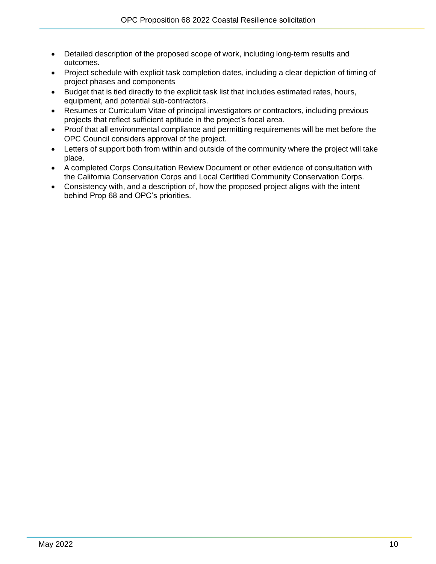- Detailed description of the proposed scope of work, including long-term results and outcomes.
- Project schedule with explicit task completion dates, including a clear depiction of timing of project phases and components
- Budget that is tied directly to the explicit task list that includes estimated rates, hours, equipment, and potential sub-contractors.
- Resumes or Curriculum Vitae of principal investigators or contractors, including previous projects that reflect sufficient aptitude in the project's focal area.
- Proof that all environmental compliance and permitting requirements will be met before the OPC Council considers approval of the project.
- Letters of support both from within and outside of the community where the project will take place.
- A completed Corps Consultation Review Document or other evidence of consultation with the California Conservation Corps and Local Certified Community Conservation Corps.
- Consistency with, and a description of, how the proposed project aligns with the intent behind Prop 68 and OPC's priorities.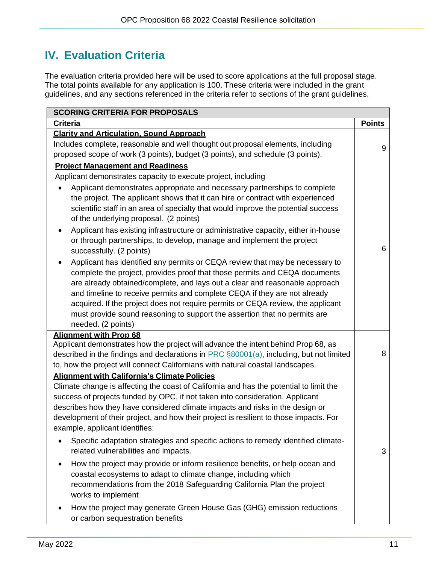# <span id="page-10-0"></span>**IV. Evaluation Criteria**

The evaluation criteria provided here will be used to score applications at the full proposal stage. The total points available for any application is 100. These criteria were included in the grant guidelines, and any sections referenced in the criteria refer to sections of the grant guidelines.

| <b>SCORING CRITERIA FOR PROPOSALS</b>                                                                                                                                                                                                                                                                                                                                                                                                                                                                                                                                                                                                                                                                                                                                                                                                                                                                                                                                                                                                                                              |               |
|------------------------------------------------------------------------------------------------------------------------------------------------------------------------------------------------------------------------------------------------------------------------------------------------------------------------------------------------------------------------------------------------------------------------------------------------------------------------------------------------------------------------------------------------------------------------------------------------------------------------------------------------------------------------------------------------------------------------------------------------------------------------------------------------------------------------------------------------------------------------------------------------------------------------------------------------------------------------------------------------------------------------------------------------------------------------------------|---------------|
| <b>Criteria</b>                                                                                                                                                                                                                                                                                                                                                                                                                                                                                                                                                                                                                                                                                                                                                                                                                                                                                                                                                                                                                                                                    | <b>Points</b> |
| <b>Clarity and Articulation. Sound Approach</b><br>Includes complete, reasonable and well thought out proposal elements, including<br>proposed scope of work (3 points), budget (3 points), and schedule (3 points).                                                                                                                                                                                                                                                                                                                                                                                                                                                                                                                                                                                                                                                                                                                                                                                                                                                               | 9             |
| <b>Project Management and Readiness</b>                                                                                                                                                                                                                                                                                                                                                                                                                                                                                                                                                                                                                                                                                                                                                                                                                                                                                                                                                                                                                                            |               |
| Applicant demonstrates capacity to execute project, including<br>Applicant demonstrates appropriate and necessary partnerships to complete<br>the project. The applicant shows that it can hire or contract with experienced<br>scientific staff in an area of specialty that would improve the potential success<br>of the underlying proposal. (2 points)<br>Applicant has existing infrastructure or administrative capacity, either in-house<br>$\bullet$<br>or through partnerships, to develop, manage and implement the project<br>successfully. (2 points)<br>Applicant has identified any permits or CEQA review that may be necessary to<br>complete the project, provides proof that those permits and CEQA documents<br>are already obtained/complete, and lays out a clear and reasonable approach<br>and timeline to receive permits and complete CEQA if they are not already<br>acquired. If the project does not require permits or CEQA review, the applicant<br>must provide sound reasoning to support the assertion that no permits are<br>needed. (2 points) | 6             |
| <b>Alignment with Prop 68</b><br>Applicant demonstrates how the project will advance the intent behind Prop 68, as<br>described in the findings and declarations in $PRC \S 80001(a)$ , including, but not limited<br>to, how the project will connect Californians with natural coastal landscapes.                                                                                                                                                                                                                                                                                                                                                                                                                                                                                                                                                                                                                                                                                                                                                                               | 8             |
| <b>Alignment with California's Climate Policies</b><br>Climate change is affecting the coast of California and has the potential to limit the<br>success of projects funded by OPC, if not taken into consideration. Applicant<br>describes how they have considered climate impacts and risks in the design or<br>development of their project, and how their project is resilient to those impacts. For<br>example, applicant identifies:<br>Specific adaptation strategies and specific actions to remedy identified climate-<br>related vulnerabilities and impacts.<br>How the project may provide or inform resilience benefits, or help ocean and<br>٠<br>coastal ecosystems to adapt to climate change, including which<br>recommendations from the 2018 Safeguarding California Plan the project<br>works to implement<br>How the project may generate Green House Gas (GHG) emission reductions<br>or carbon sequestration benefits                                                                                                                                      | 3             |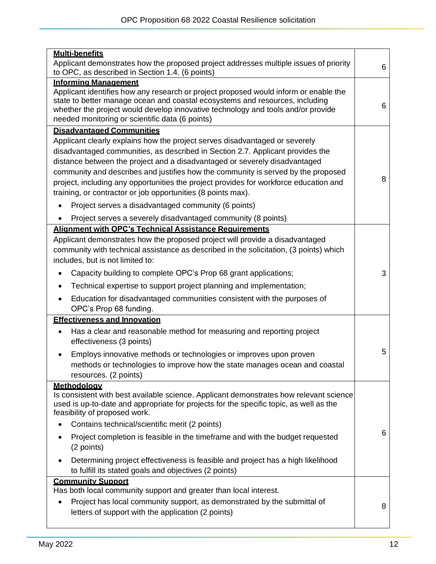| <b>Multi-benefits</b><br>Applicant demonstrates how the proposed project addresses multiple issues of priority<br>to OPC, as described in Section 1.4. (6 points)                                                                                                                                                                                                                                                                                                                         | 6 |
|-------------------------------------------------------------------------------------------------------------------------------------------------------------------------------------------------------------------------------------------------------------------------------------------------------------------------------------------------------------------------------------------------------------------------------------------------------------------------------------------|---|
| <b>Informing Management</b>                                                                                                                                                                                                                                                                                                                                                                                                                                                               |   |
| Applicant identifies how any research or project proposed would inform or enable the<br>state to better manage ocean and coastal ecosystems and resources, including<br>whether the project would develop innovative technology and tools and/or provide<br>needed monitoring or scientific data (6 points)                                                                                                                                                                               | 6 |
| <b>Disadvantaged Communities</b>                                                                                                                                                                                                                                                                                                                                                                                                                                                          |   |
| Applicant clearly explains how the project serves disadvantaged or severely<br>disadvantaged communities, as described in Section 2.7. Applicant provides the<br>distance between the project and a disadvantaged or severely disadvantaged<br>community and describes and justifies how the community is served by the proposed<br>project, including any opportunities the project provides for workforce education and<br>training, or contractor or job opportunities (8 points max). | 8 |
| Project serves a disadvantaged community (6 points)                                                                                                                                                                                                                                                                                                                                                                                                                                       |   |
| Project serves a severely disadvantaged community (8 points)                                                                                                                                                                                                                                                                                                                                                                                                                              |   |
| <b>Alignment with OPC's Technical Assistance Requirements</b>                                                                                                                                                                                                                                                                                                                                                                                                                             |   |
| Applicant demonstrates how the proposed project will provide a disadvantaged<br>community with technical assistance as described in the solicitation, (3 points) which<br>includes, but is not limited to:                                                                                                                                                                                                                                                                                |   |
| Capacity building to complete OPC's Prop 68 grant applications;                                                                                                                                                                                                                                                                                                                                                                                                                           | 3 |
| Technical expertise to support project planning and implementation;<br>٠                                                                                                                                                                                                                                                                                                                                                                                                                  |   |
| Education for disadvantaged communities consistent with the purposes of<br>$\bullet$<br>OPC's Prop 68 funding.                                                                                                                                                                                                                                                                                                                                                                            |   |
| <b>Effectiveness and Innovation</b>                                                                                                                                                                                                                                                                                                                                                                                                                                                       |   |
| Has a clear and reasonable method for measuring and reporting project<br>effectiveness (3 points)                                                                                                                                                                                                                                                                                                                                                                                         |   |
| Employs innovative methods or technologies or improves upon proven<br>methods or technologies to improve how the state manages ocean and coastal<br>resources. (2 points)                                                                                                                                                                                                                                                                                                                 | 5 |
| Methodoloav<br>Is consistent with best available science. Applicant demonstrates how relevant science<br>used is up-to-date and appropriate for projects for the specific topic, as well as the<br>feasibility of proposed work.                                                                                                                                                                                                                                                          |   |
| Contains technical/scientific merit (2 points)                                                                                                                                                                                                                                                                                                                                                                                                                                            | 6 |
| Project completion is feasible in the timeframe and with the budget requested<br>(2 points)                                                                                                                                                                                                                                                                                                                                                                                               |   |
| Determining project effectiveness is feasible and project has a high likelihood<br>to fulfill its stated goals and objectives (2 points)                                                                                                                                                                                                                                                                                                                                                  |   |
| <b>Community Support</b>                                                                                                                                                                                                                                                                                                                                                                                                                                                                  |   |
| Has both local community support and greater than local interest.                                                                                                                                                                                                                                                                                                                                                                                                                         |   |
| Project has local community support, as demonstrated by the submittal of<br>٠<br>letters of support with the application (2 points)                                                                                                                                                                                                                                                                                                                                                       | 8 |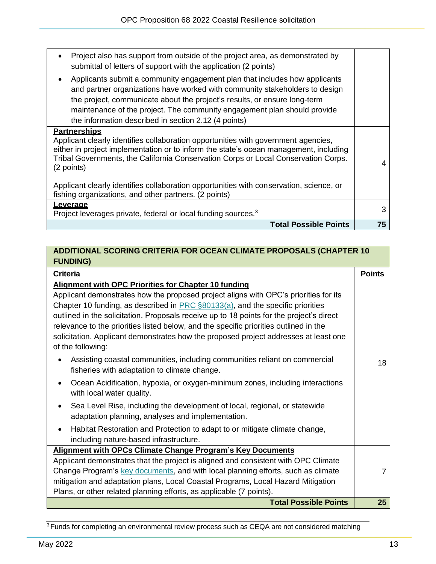| Applicants submit a community engagement plan that includes how applicants<br>$\bullet$<br>and partner organizations have worked with community stakeholders to design<br>the project, communicate about the project's results, or ensure long-term<br>maintenance of the project. The community engagement plan should provide<br>the information described in section 2.12 (4 points)<br><b>Partnerships</b> |         |  |
|----------------------------------------------------------------------------------------------------------------------------------------------------------------------------------------------------------------------------------------------------------------------------------------------------------------------------------------------------------------------------------------------------------------|---------|--|
| Applicant clearly identifies collaboration opportunities with government agencies,<br>either in project implementation or to inform the state's ocean management, including<br>Tribal Governments, the California Conservation Corps or Local Conservation Corps.<br>(2 points)<br>Applicant clearly identifies collaboration opportunities with conservation, science, or                                     |         |  |
| fishing organizations, and other partners. (2 points)<br>Leverage                                                                                                                                                                                                                                                                                                                                              |         |  |
| Project leverages private, federal or local funding sources. <sup>3</sup><br><b>Total Possible Points</b>                                                                                                                                                                                                                                                                                                      | 3<br>75 |  |

# **ADDITIONAL SCORING CRITERIA FOR OCEAN CLIMATE PROPOSALS (CHAPTER 10 FUNDING)**

| <b>Criteria</b>                                                                            |    |  |
|--------------------------------------------------------------------------------------------|----|--|
| <b>Alignment with OPC Priorities for Chapter 10 funding</b>                                |    |  |
| Applicant demonstrates how the proposed project aligns with OPC's priorities for its       |    |  |
| Chapter 10 funding, as described in $PRC \$ §80133(a), and the specific priorities         |    |  |
| outlined in the solicitation. Proposals receive up to 18 points for the project's direct   |    |  |
| relevance to the priorities listed below, and the specific priorities outlined in the      |    |  |
| solicitation. Applicant demonstrates how the proposed project addresses at least one       |    |  |
| of the following:                                                                          |    |  |
| Assisting coastal communities, including communities reliant on commercial<br>$\bullet$    | 18 |  |
| fisheries with adaptation to climate change.                                               |    |  |
| Ocean Acidification, hypoxia, or oxygen-minimum zones, including interactions<br>$\bullet$ |    |  |
| with local water quality.                                                                  |    |  |
| Sea Level Rise, including the development of local, regional, or statewide<br>$\bullet$    |    |  |
| adaptation planning, analyses and implementation.                                          |    |  |
| Habitat Restoration and Protection to adapt to or mitigate climate change,<br>$\bullet$    |    |  |
| including nature-based infrastructure.                                                     |    |  |
| <b>Alignment with OPCs Climate Change Program's Key Documents</b>                          |    |  |
| Applicant demonstrates that the project is aligned and consistent with OPC Climate         |    |  |
| Change Program's key documents, and with local planning efforts, such as climate           |    |  |
| mitigation and adaptation plans, Local Coastal Programs, Local Hazard Mitigation           |    |  |
| Plans, or other related planning efforts, as applicable (7 points).                        |    |  |
| <b>Total Possible Points</b>                                                               | 25 |  |

 $3$ Funds for completing an environmental review process such as CEQA are not considered matching